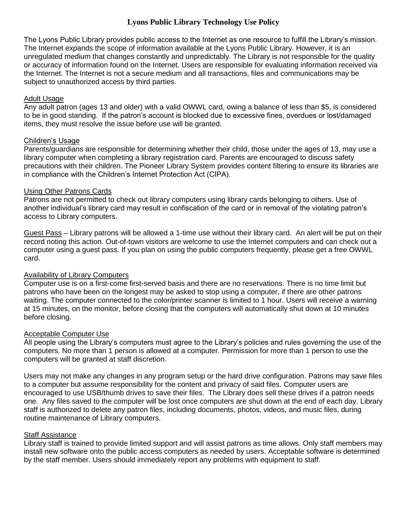# **Lyons Public Library Technology Use Policy**

The Lyons Public Library provides public access to the Internet as one resource to fulfill the Library's mission. The Internet expands the scope of information available at the Lyons Public Library. However, it is an unregulated medium that changes constantly and unpredictably. The Library is not responsible for the quality or accuracy of information found on the Internet. Users are responsible for evaluating information received via the Internet. The Internet is not a secure medium and all transactions, files and communications may be subject to unauthorized access by third parties.

### Adult Usage

Any adult patron (ages 13 and older) with a valid OWWL card, owing a balance of less than \$5, is considered to be in good standing. If the patron's account is blocked due to excessive fines, overdues or lost/damaged items, they must resolve the issue before use will be granted.

### Children's Usage

Parents/guardians are responsible for determining whether their child, those under the ages of 13, may use a library computer when completing a library registration card. Parents are encouraged to discuss safety precautions with their children. The Pioneer Library System provides content filtering to ensure its libraries are in compliance with the Children's Internet Protection Act (CIPA).

### Using Other Patrons Cards

Patrons are not permitted to check out library computers using library cards belonging to others. Use of another individual's library card may result in confiscation of the card or in removal of the violating patron's access to Library computers.

Guest Pass *–* Library patrons will be allowed a 1-time use without their library card. An alert will be put on their record noting this action. Out-of-town visitors are welcome to use the Internet computers and can check out a computer using a guest pass. If you plan on using the public computers frequently, please get a free OWWL card.

## Availability of Library Computers

Computer use is on a first-come first-served basis and there are no reservations. There is no time limit but patrons who have been on the longest may be asked to stop using a computer, if there are other patrons waiting. The computer connected to the color/printer scanner is limited to 1 hour. Users will receive a warning at 15 minutes, on the monitor, before closing that the computers will automatically shut down at 10 minutes before closing.

## Acceptable Computer Use

All people using the Library's computers must agree to the Library's policies and rules governing the use of the computers. No more than 1 person is allowed at a computer. Permission for more than 1 person to use the computers will be granted at staff discretion.

Users may not make any changes in any program setup or the hard drive configuration. Patrons may save files to a computer but assume responsibility for the content and privacy of said files. Computer users are encouraged to use USB/thumb drives to save their files. The Library does sell these drives if a patron needs one. Any files saved to the computer will be lost once computers are shut down at the end of each day. Library staff is authorized to delete any patron files, including documents, photos, videos, and music files, during routine maintenance of Library computers.

#### Staff Assistance

Library staff is trained to provide limited support and will assist patrons as time allows. Only staff members may install new software onto the public access computers as needed by users. Acceptable software is determined by the staff member. Users should immediately report any problems with equipment to staff.